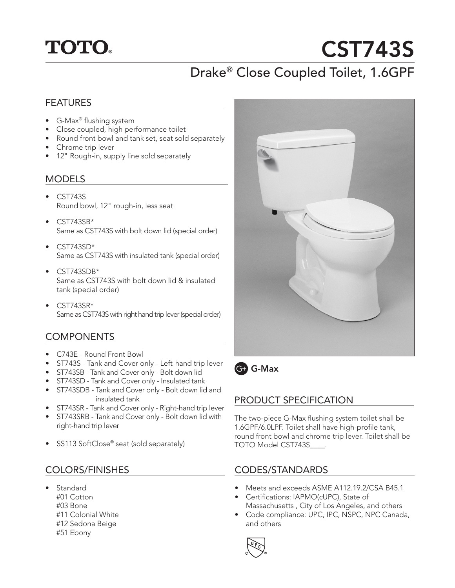## **TOTO.**

# CST743S

## Drake® Close Coupled Toilet, 1.6GPF

#### FEATURES

- G-Max® flushing system
- Close coupled, high performance toilet
- Round front bowl and tank set, seat sold separately
- Chrome trip lever
- 12" Rough-in, supply line sold separately

#### MODELS

- CST743S Round bowl, 12" rough-in, less seat
- CST743SB\* Same as CST743S with bolt down lid (special order)
- $\bullet$  CST743SD\* Same as CST743S with insulated tank (special order)
- CST743SDB\* Same as CST743S with bolt down lid & insulated tank (special order)
- CST743SR\* Same as CST743S with right hand trip lever (special order)

#### **COMPONENTS**

- C743E Round Front Bowl
- ST743S Tank and Cover only Left-hand trip lever
- ST743SB Tank and Cover only Bolt down lid
- ST743SD Tank and Cover only Insulated tank
- ST743SDB Tank and Cover only Bolt down lid and insulated tank
- ST743SR Tank and Cover only Right-hand trip lever
- ST743SRB Tank and Cover only Bolt down lid with right-hand trip lever
- SS113 SoftClose® seat (sold separately)

#### COLORS/FINISHES

- **Standard** 
	- #01 Cotton
	- #03 Bone
	- #11 Colonial White
	- #12 Sedona Beige
	- #51 Ebony





#### PRODUCT SPECIFICATION

The two-piece G-Max flushing system toilet shall be 1.6GPF/6.0LPF. Toilet shall have high-profile tank, round front bowl and chrome trip lever. Toilet shall be TOTO Model CST743S\_\_\_\_.

#### CODES/STANDARDS

- Meets and exceeds ASME A112.19.2/CSA B45.1
- Certifications: IAPMO(cUPC), State of Massachusetts , City of Los Angeles, and others
- Code compliance: UPC, IPC, NSPC, NPC Canada, and others